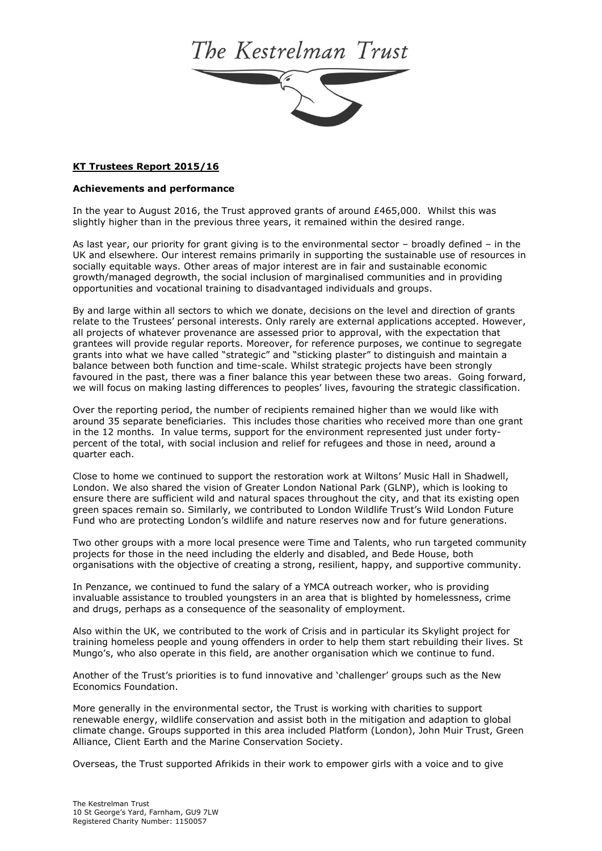## The Kestrelman Trust



## **Achievements and performance**

In the year to August 2016, the Trust approved grants of around £465,000. Whilst this was slightly higher than in the previous three years, it remained within the desired range.

As last year, our priority for grant giving is to the environmental sector – broadly defined – in the UK and elsewhere. Our interest remains primarily in supporting the sustainable use of resources in socially equitable ways. Other areas of major interest are in fair and sustainable economic growth/managed degrowth, the social inclusion of marginalised communities and in providing opportunities and vocational training to disadvantaged individuals and groups.

By and large within all sectors to which we donate, decisions on the level and direction of grants relate to the Trustees' personal interests. Only rarely are external applications accepted. However, all projects of whatever provenance are assessed prior to approval, with the expectation that grantees will provide regular reports. Moreover, for reference purposes, we continue to segregate grants into what we have called "strategic" and "sticking plaster" to distinguish and maintain a balance between both function and time-scale. Whilst strategic projects have been strongly favoured in the past, there was a finer balance this year between these two areas. Going forward, we will focus on making lasting differences to peoples' lives, favouring the strategic classification.

Over the reporting period, the number of recipients remained higher than we would like with around 35 separate beneficiaries. This includes those charities who received more than one grant in the 12 months. In value terms, support for the environment represented just under fortypercent of the total, with social inclusion and relief for refugees and those in need, around a quarter each.

Close to home we continued to support the restoration work at Wiltons' Music Hall in Shadwell, London. We also shared the vision of Greater London National Park (GLNP), which is looking to ensure there are sufficient wild and natural spaces throughout the city, and that its existing open green spaces remain so. Similarly, we contributed to London Wildlife Trust's Wild London Future Fund who are protecting London's wildlife and nature reserves now and for future generations.

Two other groups with a more local presence were Time and Talents, who run targeted community projects for those in the need including the elderly and disabled, and Bede House, both organisations with the objective of creating a strong, resilient, happy, and supportive community.

In Penzance, we continued to fund the salary of a YMCA outreach worker, who is providing invaluable assistance to troubled youngsters in an area that is blighted by homelessness, crime and drugs, perhaps as a consequence of the seasonality of employment.

Also within the UK, we contributed to the work of Crisis and in particular its Skylight project for training homeless people and young offenders in order to help them start rebuilding their lives. St Mungo's, who also operate in this field, are another organisation which we continue to fund.

Another of the Trust's priorities is to fund innovative and 'challenger' groups such as the New Economics Foundation.

More generally in the environmental sector, the Trust is working with charities to support renewable energy, wildlife conservation and assist both in the mitigation and adaption to global climate change. Groups supported in this area included Platform (London), John Muir Trust, Green Alliance, Client Earth and the Marine Conservation Society.

Overseas, the Trust supported Afrikids in their work to empower girls with a voice and to give